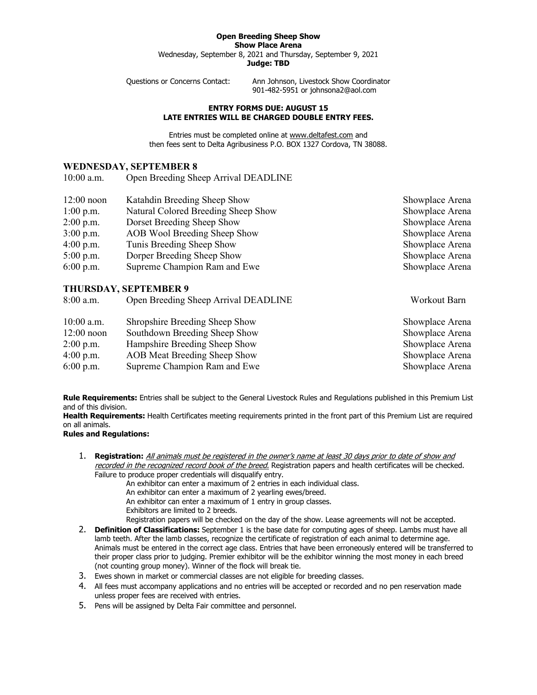## **Open Breeding Sheep Show**

**Show Place Arena**

Wednesday, September 8, 2021 and Thursday, September 9, 2021 **Judge: TBD**

Questions or Concerns Contact: Ann Johnson, Livestock Show Coordinator 901-482-5951 or johnsona2@aol.com

## **ENTRY FORMS DUE: AUGUST 15 LATE ENTRIES WILL BE CHARGED DOUBLE ENTRY FEES.**

Entries must be completed online at [www.deltafest.com](http://www.deltafest.com/) and then fees sent to Delta Agribusiness P.O. BOX 1327 Cordova, TN 38088.

## **WEDNESDAY, SEPTEMBER 8**

10:00 a.m. Open Breeding Sheep Arrival DEADLINE

| $12:00$ noon | Katahdin Breeding Sheep Show        | Showplace Arena |
|--------------|-------------------------------------|-----------------|
| $1:00$ p.m.  | Natural Colored Breeding Sheep Show | Showplace Arena |
| $2:00$ p.m.  | Dorset Breeding Sheep Show          | Showplace Arena |
| $3:00$ p.m.  | AOB Wool Breeding Sheep Show        | Showplace Arena |
| $4:00$ p.m.  | Tunis Breeding Sheep Show           | Showplace Arena |
| $5:00$ p.m.  | Dorper Breeding Sheep Show          | Showplace Arena |
| $6:00$ p.m.  | Supreme Champion Ram and Ewe        | Showplace Arena |
|              | THURSDAY, SEPTEMBER 9               |                 |

| 8:00 a.m.    | Open Breeding Sheep Arrival DEADLINE | Workout Barn    |  |  |
|--------------|--------------------------------------|-----------------|--|--|
| $10:00$ a.m. | Shropshire Breeding Sheep Show       | Showplace Arena |  |  |
| $12:00$ noon | Southdown Breeding Sheep Show        | Showplace Arena |  |  |
| $2:00$ p.m.  | Hampshire Breeding Sheep Show        | Showplace Arena |  |  |
| $4:00$ p.m.  | <b>AOB</b> Meat Breeding Sheep Show  | Showplace Arena |  |  |
| $6:00$ p.m.  | Supreme Champion Ram and Ewe         | Showplace Arena |  |  |

**Rule Requirements:** Entries shall be subject to the General Livestock Rules and Regulations published in this Premium List and of this division.

**Health Requirements:** Health Certificates meeting requirements printed in the front part of this Premium List are required on all animals.

## **Rules and Regulations:**

1. **Registration:** All animals must be registered in the owner's name at least 30 days prior to date of show and recorded in the recognized record book of the breed. Registration papers and health certificates will be checked. Failure to produce proper credentials will disqualify entry.

An exhibitor can enter a maximum of 2 entries in each individual class.

An exhibitor can enter a maximum of 2 yearling ewes/breed.

An exhibitor can enter a maximum of 1 entry in group classes.

Exhibitors are limited to 2 breeds.

Registration papers will be checked on the day of the show. Lease agreements will not be accepted.

- 2. **Definition of Classifications:** September 1 is the base date for computing ages of sheep. Lambs must have all lamb teeth. After the lamb classes, recognize the certificate of registration of each animal to determine age. Animals must be entered in the correct age class. Entries that have been erroneously entered will be transferred to their proper class prior to judging. Premier exhibitor will be the exhibitor winning the most money in each breed (not counting group money). Winner of the flock will break tie.
- 3. Ewes shown in market or commercial classes are not eligible for breeding classes.
- 4. All fees must accompany applications and no entries will be accepted or recorded and no pen reservation made unless proper fees are received with entries.
- 5. Pens will be assigned by Delta Fair committee and personnel.